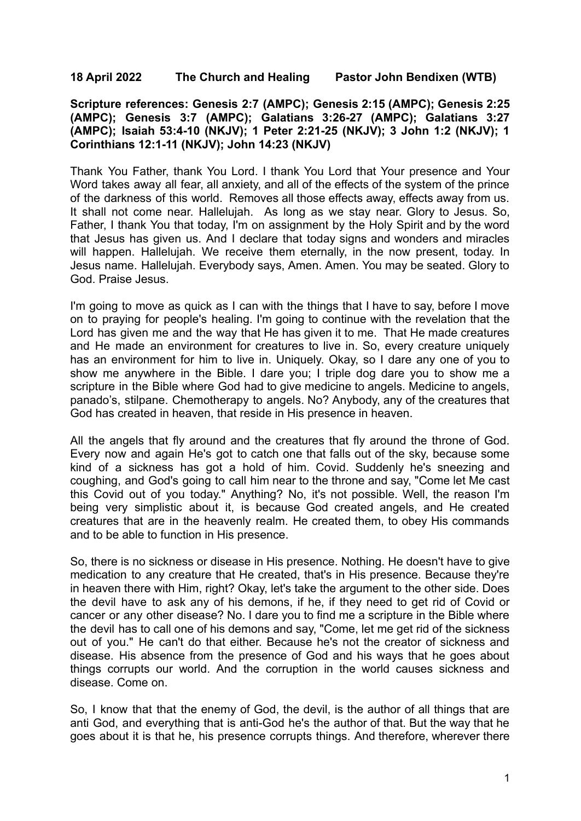## **18 April 2022 The Church and Healing Pastor John Bendixen (WTB)**

**Scripture references: Genesis 2:7 (AMPC); Genesis 2:15 (AMPC); Genesis 2:25 (AMPC); Genesis 3:7 (AMPC); Galatians 3:26-27 (AMPC); Galatians 3:27 (AMPC); Isaiah 53:4-10 (NKJV); 1 Peter 2:21-25 (NKJV); 3 John 1:2 (NKJV); 1 Corinthians 12:1-11 (NKJV); John 14:23 (NKJV)**

Thank You Father, thank You Lord. I thank You Lord that Your presence and Your Word takes away all fear, all anxiety, and all of the effects of the system of the prince of the darkness of this world. Removes all those effects away, effects away from us. It shall not come near. Hallelujah. As long as we stay near. Glory to Jesus. So, Father, I thank You that today, I'm on assignment by the Holy Spirit and by the word that Jesus has given us. And I declare that today signs and wonders and miracles will happen. Hallelujah. We receive them eternally, in the now present, today. In Jesus name. Hallelujah. Everybody says, Amen. Amen. You may be seated. Glory to God. Praise Jesus.

I'm going to move as quick as I can with the things that I have to say, before I move on to praying for people's healing. I'm going to continue with the revelation that the Lord has given me and the way that He has given it to me. That He made creatures and He made an environment for creatures to live in. So, every creature uniquely has an environment for him to live in. Uniquely. Okay, so I dare any one of you to show me anywhere in the Bible. I dare you; I triple dog dare you to show me a scripture in the Bible where God had to give medicine to angels. Medicine to angels, panado's, stilpane. Chemotherapy to angels. No? Anybody, any of the creatures that God has created in heaven, that reside in His presence in heaven.

All the angels that fly around and the creatures that fly around the throne of God. Every now and again He's got to catch one that falls out of the sky, because some kind of a sickness has got a hold of him. Covid. Suddenly he's sneezing and coughing, and God's going to call him near to the throne and say, "Come let Me cast this Covid out of you today." Anything? No, it's not possible. Well, the reason I'm being very simplistic about it, is because God created angels, and He created creatures that are in the heavenly realm. He created them, to obey His commands and to be able to function in His presence.

So, there is no sickness or disease in His presence. Nothing. He doesn't have to give medication to any creature that He created, that's in His presence. Because they're in heaven there with Him, right? Okay, let's take the argument to the other side. Does the devil have to ask any of his demons, if he, if they need to get rid of Covid or cancer or any other disease? No. I dare you to find me a scripture in the Bible where the devil has to call one of his demons and say, "Come, let me get rid of the sickness out of you." He can't do that either. Because he's not the creator of sickness and disease. His absence from the presence of God and his ways that he goes about things corrupts our world. And the corruption in the world causes sickness and disease. Come on.

So, I know that that the enemy of God, the devil, is the author of all things that are anti God, and everything that is anti-God he's the author of that. But the way that he goes about it is that he, his presence corrupts things. And therefore, wherever there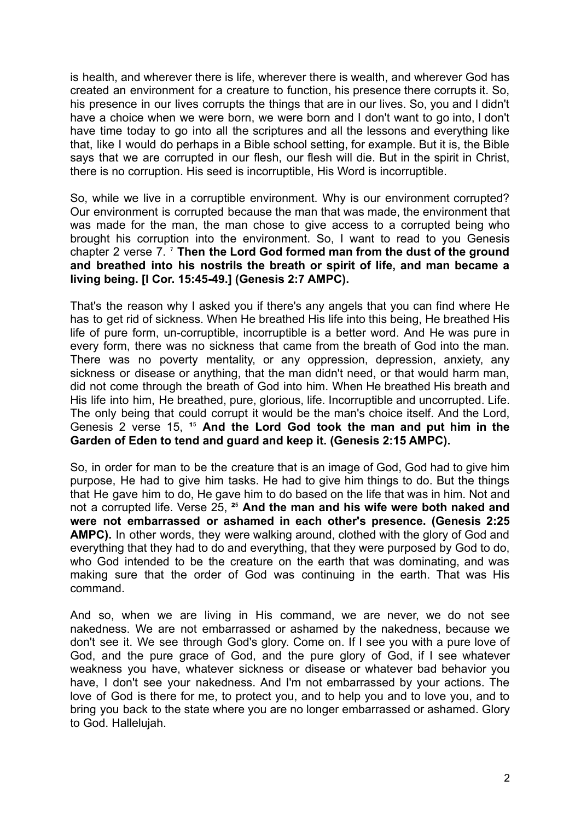is health, and wherever there is life, wherever there is wealth, and wherever God has created an environment for a creature to function, his presence there corrupts it. So, his presence in our lives corrupts the things that are in our lives. So, you and I didn't have a choice when we were born, we were born and I don't want to go into, I don't have time today to go into all the scriptures and all the lessons and everything like that, like I would do perhaps in a Bible school setting, for example. But it is, the Bible says that we are corrupted in our flesh, our flesh will die. But in the spirit in Christ, there is no corruption. His seed is incorruptible, His Word is incorruptible.

So, while we live in a corruptible environment. Why is our environment corrupted? Our environment is corrupted because the man that was made, the environment that was made for the man, the man chose to give access to a corrupted being who brought his corruption into the environment. So, I want to read to you Genesis chapter 2 verse 7. ⁷ **Then the Lord God formed man from the dust of the ground and breathed into his nostrils the breath or spirit of life, and man became a living being. [I Cor. 15:45-49.] (Genesis 2:7 AMPC).**

That's the reason why I asked you if there's any angels that you can find where He has to get rid of sickness. When He breathed His life into this being, He breathed His life of pure form, un-corruptible, incorruptible is a better word. And He was pure in every form, there was no sickness that came from the breath of God into the man. There was no poverty mentality, or any oppression, depression, anxiety, any sickness or disease or anything, that the man didn't need, or that would harm man, did not come through the breath of God into him. When He breathed His breath and His life into him, He breathed, pure, glorious, life. Incorruptible and uncorrupted. Life. The only being that could corrupt it would be the man's choice itself. And the Lord, Genesis 2 verse 15, **¹**⁵ **And the Lord God took the man and put him in the Garden of Eden to tend and guard and keep it. (Genesis 2:15 AMPC).**

So, in order for man to be the creature that is an image of God, God had to give him purpose, He had to give him tasks. He had to give him things to do. But the things that He gave him to do, He gave him to do based on the life that was in him. Not and not a corrupted life. Verse 25, **²**⁵ **And the man and his wife were both naked and were not embarrassed or ashamed in each other's presence. (Genesis 2:25 AMPC).** In other words, they were walking around, clothed with the glory of God and everything that they had to do and everything, that they were purposed by God to do, who God intended to be the creature on the earth that was dominating, and was making sure that the order of God was continuing in the earth. That was His command.

And so, when we are living in His command, we are never, we do not see nakedness. We are not embarrassed or ashamed by the nakedness, because we don't see it. We see through God's glory. Come on. If I see you with a pure love of God, and the pure grace of God, and the pure glory of God, if I see whatever weakness you have, whatever sickness or disease or whatever bad behavior you have, I don't see your nakedness. And I'm not embarrassed by your actions. The love of God is there for me, to protect you, and to help you and to love you, and to bring you back to the state where you are no longer embarrassed or ashamed. Glory to God. Hallelujah.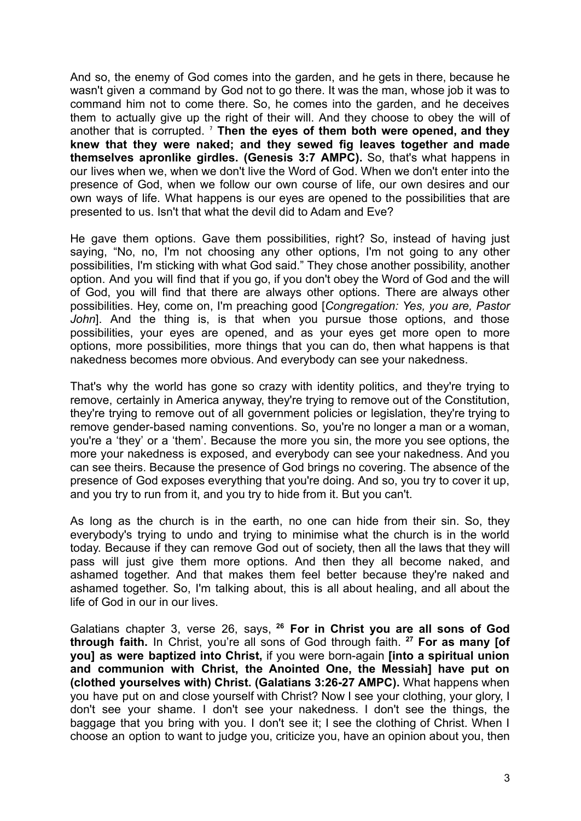And so, the enemy of God comes into the garden, and he gets in there, because he wasn't given a command by God not to go there. It was the man, whose job it was to command him not to come there. So, he comes into the garden, and he deceives them to actually give up the right of their will. And they choose to obey the will of another that is corrupted. ⁷ **Then the eyes of them both were opened, and they knew that they were naked; and they sewed fig leaves together and made themselves apronlike girdles. (Genesis 3:7 AMPC).** So, that's what happens in our lives when we, when we don't live the Word of God. When we don't enter into the presence of God, when we follow our own course of life, our own desires and our own ways of life. What happens is our eyes are opened to the possibilities that are presented to us. Isn't that what the devil did to Adam and Eve?

He gave them options. Gave them possibilities, right? So, instead of having just saying, "No, no, I'm not choosing any other options, I'm not going to any other possibilities, I'm sticking with what God said." They chose another possibility, another option. And you will find that if you go, if you don't obey the Word of God and the will of God, you will find that there are always other options. There are always other possibilities. Hey, come on, I'm preaching good [*Congregation: Yes, you are, Pastor John*]. And the thing is, is that when you pursue those options, and those possibilities, your eyes are opened, and as your eyes get more open to more options, more possibilities, more things that you can do, then what happens is that nakedness becomes more obvious. And everybody can see your nakedness.

That's why the world has gone so crazy with identity politics, and they're trying to remove, certainly in America anyway, they're trying to remove out of the Constitution, they're trying to remove out of all government policies or legislation, they're trying to remove gender-based naming conventions. So, you're no longer a man or a woman, you're a 'they' or a 'them'. Because the more you sin, the more you see options, the more your nakedness is exposed, and everybody can see your nakedness. And you can see theirs. Because the presence of God brings no covering. The absence of the presence of God exposes everything that you're doing. And so, you try to cover it up, and you try to run from it, and you try to hide from it. But you can't.

As long as the church is in the earth, no one can hide from their sin. So, they everybody's trying to undo and trying to minimise what the church is in the world today. Because if they can remove God out of society, then all the laws that they will pass will just give them more options. And then they all become naked, and ashamed together. And that makes them feel better because they're naked and ashamed together. So, I'm talking about, this is all about healing, and all about the life of God in our in our lives.

Galatians chapter 3, verse 26, says, **<sup>26</sup> For in Christ you are all sons of God through faith.** In Christ, you're all sons of God through faith. **<sup>27</sup> For as many [of you] as were baptized into Christ,** if you were born-again **[into a spiritual union and communion with Christ, the Anointed One, the Messiah] have put on (clothed yourselves with) Christ. (Galatians 3:26-27 AMPC).** What happens when you have put on and close yourself with Christ? Now I see your clothing, your glory, I don't see your shame. I don't see your nakedness. I don't see the things, the baggage that you bring with you. I don't see it; I see the clothing of Christ. When I choose an option to want to judge you, criticize you, have an opinion about you, then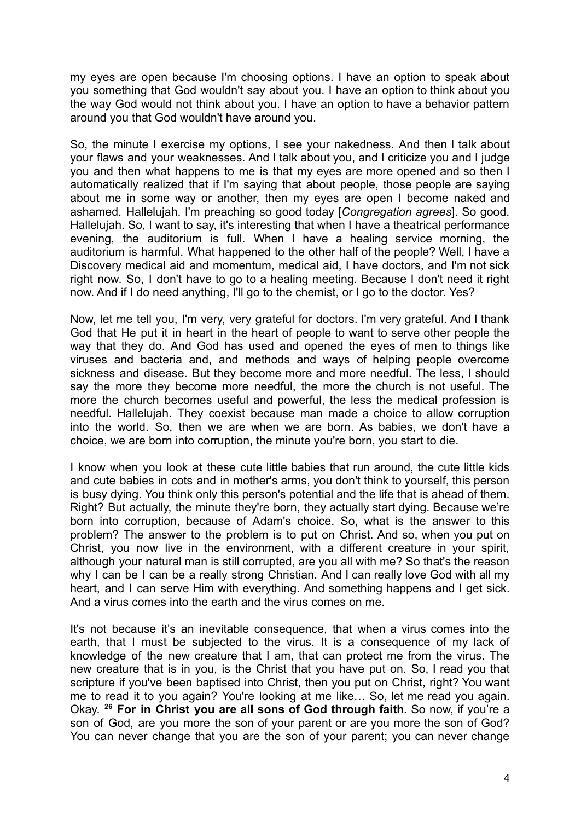my eyes are open because I'm choosing options. I have an option to speak about you something that God wouldn't say about you. I have an option to think about you the way God would not think about you. I have an option to have a behavior pattern around you that God wouldn't have around you.

So, the minute I exercise my options, I see your nakedness. And then I talk about your flaws and your weaknesses. And I talk about you, and I criticize you and I judge you and then what happens to me is that my eyes are more opened and so then I automatically realized that if I'm saying that about people, those people are saying about me in some way or another, then my eyes are open I become naked and ashamed. Hallelujah. I'm preaching so good today [*Congregation agrees*]. So good. Hallelujah. So, I want to say, it's interesting that when I have a theatrical performance evening, the auditorium is full. When I have a healing service morning, the auditorium is harmful. What happened to the other half of the people? Well, I have a Discovery medical aid and momentum, medical aid, I have doctors, and I'm not sick right now. So, I don't have to go to a healing meeting. Because I don't need it right now. And if I do need anything, I'll go to the chemist, or I go to the doctor. Yes?

Now, let me tell you, I'm very, very grateful for doctors. I'm very grateful. And I thank God that He put it in heart in the heart of people to want to serve other people the way that they do. And God has used and opened the eyes of men to things like viruses and bacteria and, and methods and ways of helping people overcome sickness and disease. But they become more and more needful. The less, I should say the more they become more needful, the more the church is not useful. The more the church becomes useful and powerful, the less the medical profession is needful. Hallelujah. They coexist because man made a choice to allow corruption into the world. So, then we are when we are born. As babies, we don't have a choice, we are born into corruption, the minute you're born, you start to die.

I know when you look at these cute little babies that run around, the cute little kids and cute babies in cots and in mother's arms, you don't think to yourself, this person is busy dying. You think only this person's potential and the life that is ahead of them. Right? But actually, the minute they're born, they actually start dying. Because we're born into corruption, because of Adam's choice. So, what is the answer to this problem? The answer to the problem is to put on Christ. And so, when you put on Christ, you now live in the environment, with a different creature in your spirit, although your natural man is still corrupted, are you all with me? So that's the reason why I can be I can be a really strong Christian. And I can really love God with all my heart, and I can serve Him with everything. And something happens and I get sick. And a virus comes into the earth and the virus comes on me.

It's not because it's an inevitable consequence, that when a virus comes into the earth, that I must be subjected to the virus. It is a consequence of my lack of knowledge of the new creature that I am, that can protect me from the virus. The new creature that is in you, is the Christ that you have put on. So, I read you that scripture if you've been baptised into Christ, then you put on Christ, right? You want me to read it to you again? You're looking at me like… So, let me read you again. Okay. **<sup>26</sup> For in Christ you are all sons of God through faith.** So now, if you're a son of God, are you more the son of your parent or are you more the son of God? You can never change that you are the son of your parent; you can never change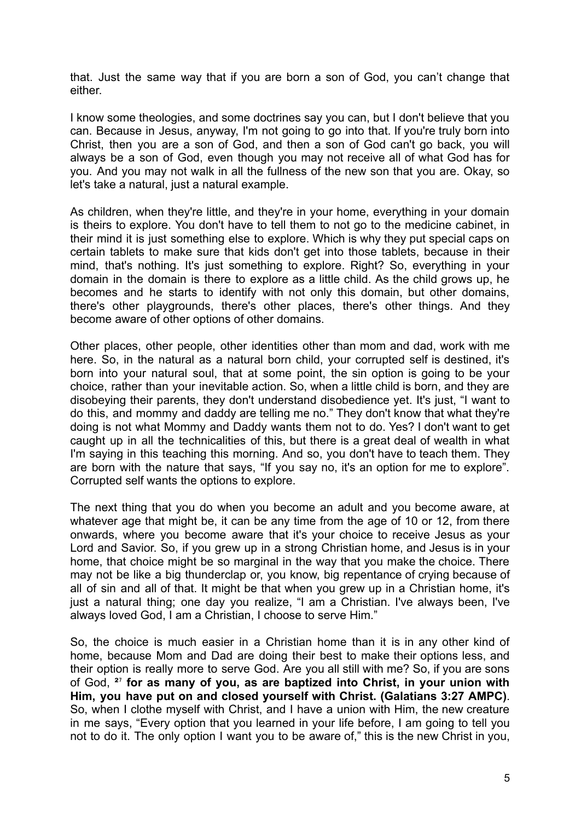that. Just the same way that if you are born a son of God, you can't change that either.

I know some theologies, and some doctrines say you can, but I don't believe that you can. Because in Jesus, anyway, I'm not going to go into that. If you're truly born into Christ, then you are a son of God, and then a son of God can't go back, you will always be a son of God, even though you may not receive all of what God has for you. And you may not walk in all the fullness of the new son that you are. Okay, so let's take a natural, just a natural example.

As children, when they're little, and they're in your home, everything in your domain is theirs to explore. You don't have to tell them to not go to the medicine cabinet, in their mind it is just something else to explore. Which is why they put special caps on certain tablets to make sure that kids don't get into those tablets, because in their mind, that's nothing. It's just something to explore. Right? So, everything in your domain in the domain is there to explore as a little child. As the child grows up, he becomes and he starts to identify with not only this domain, but other domains, there's other playgrounds, there's other places, there's other things. And they become aware of other options of other domains.

Other places, other people, other identities other than mom and dad, work with me here. So, in the natural as a natural born child, your corrupted self is destined, it's born into your natural soul, that at some point, the sin option is going to be your choice, rather than your inevitable action. So, when a little child is born, and they are disobeying their parents, they don't understand disobedience yet. It's just, "I want to do this, and mommy and daddy are telling me no." They don't know that what they're doing is not what Mommy and Daddy wants them not to do. Yes? I don't want to get caught up in all the technicalities of this, but there is a great deal of wealth in what I'm saying in this teaching this morning. And so, you don't have to teach them. They are born with the nature that says, "If you say no, it's an option for me to explore". Corrupted self wants the options to explore.

The next thing that you do when you become an adult and you become aware, at whatever age that might be, it can be any time from the age of 10 or 12, from there onwards, where you become aware that it's your choice to receive Jesus as your Lord and Savior. So, if you grew up in a strong Christian home, and Jesus is in your home, that choice might be so marginal in the way that you make the choice. There may not be like a big thunderclap or, you know, big repentance of crying because of all of sin and all of that. It might be that when you grew up in a Christian home, it's just a natural thing; one day you realize, "I am a Christian. I've always been, I've always loved God, I am a Christian, I choose to serve Him."

So, the choice is much easier in a Christian home than it is in any other kind of home, because Mom and Dad are doing their best to make their options less, and their option is really more to serve God. Are you all still with me? So, if you are sons of God, **²**⁷ **for as many of you, as are baptized into Christ, in your union with Him, you have put on and closed yourself with Christ. (Galatians 3:27 AMPC)**. So, when I clothe myself with Christ, and I have a union with Him, the new creature in me says, "Every option that you learned in your life before, I am going to tell you not to do it. The only option I want you to be aware of," this is the new Christ in you,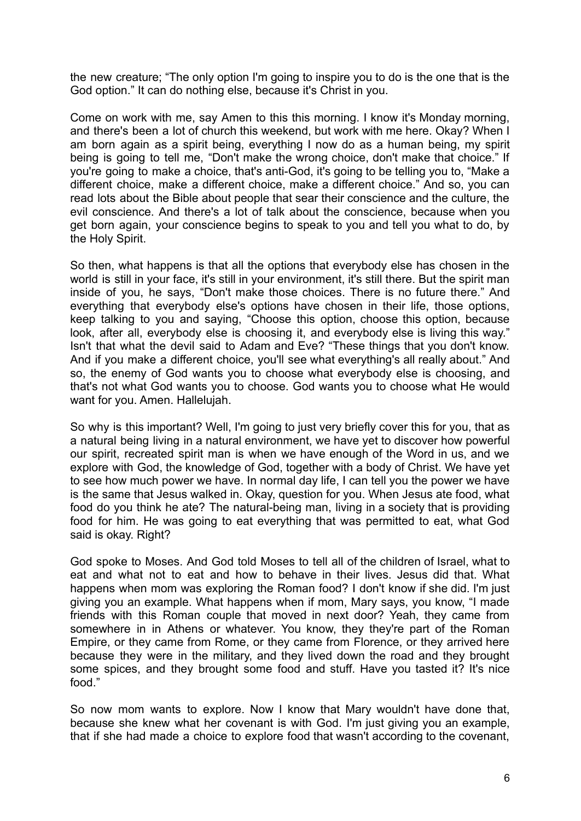the new creature; "The only option I'm going to inspire you to do is the one that is the God option." It can do nothing else, because it's Christ in you.

Come on work with me, say Amen to this this morning. I know it's Monday morning, and there's been a lot of church this weekend, but work with me here. Okay? When I am born again as a spirit being, everything I now do as a human being, my spirit being is going to tell me, "Don't make the wrong choice, don't make that choice." If you're going to make a choice, that's anti-God, it's going to be telling you to, "Make a different choice, make a different choice, make a different choice." And so, you can read lots about the Bible about people that sear their conscience and the culture, the evil conscience. And there's a lot of talk about the conscience, because when you get born again, your conscience begins to speak to you and tell you what to do, by the Holy Spirit.

So then, what happens is that all the options that everybody else has chosen in the world is still in your face, it's still in your environment, it's still there. But the spirit man inside of you, he says, "Don't make those choices. There is no future there." And everything that everybody else's options have chosen in their life, those options, keep talking to you and saying, "Choose this option, choose this option, because look, after all, everybody else is choosing it, and everybody else is living this way." Isn't that what the devil said to Adam and Eve? "These things that you don't know. And if you make a different choice, you'll see what everything's all really about." And so, the enemy of God wants you to choose what everybody else is choosing, and that's not what God wants you to choose. God wants you to choose what He would want for you. Amen. Hallelujah.

So why is this important? Well, I'm going to just very briefly cover this for you, that as a natural being living in a natural environment, we have yet to discover how powerful our spirit, recreated spirit man is when we have enough of the Word in us, and we explore with God, the knowledge of God, together with a body of Christ. We have yet to see how much power we have. In normal day life, I can tell you the power we have is the same that Jesus walked in. Okay, question for you. When Jesus ate food, what food do you think he ate? The natural-being man, living in a society that is providing food for him. He was going to eat everything that was permitted to eat, what God said is okay. Right?

God spoke to Moses. And God told Moses to tell all of the children of Israel, what to eat and what not to eat and how to behave in their lives. Jesus did that. What happens when mom was exploring the Roman food? I don't know if she did. I'm just giving you an example. What happens when if mom, Mary says, you know, "I made friends with this Roman couple that moved in next door? Yeah, they came from somewhere in in Athens or whatever. You know, they they're part of the Roman Empire, or they came from Rome, or they came from Florence, or they arrived here because they were in the military, and they lived down the road and they brought some spices, and they brought some food and stuff. Have you tasted it? It's nice food."

So now mom wants to explore. Now I know that Mary wouldn't have done that, because she knew what her covenant is with God. I'm just giving you an example, that if she had made a choice to explore food that wasn't according to the covenant,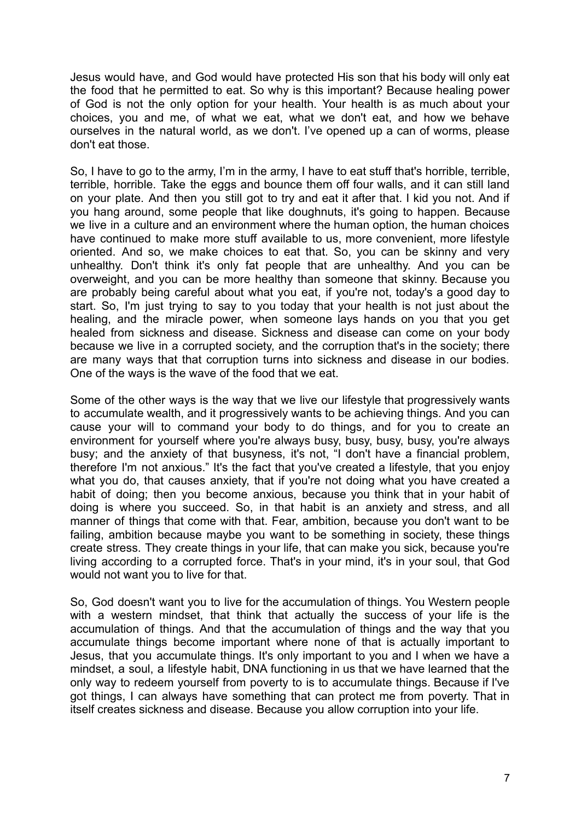Jesus would have, and God would have protected His son that his body will only eat the food that he permitted to eat. So why is this important? Because healing power of God is not the only option for your health. Your health is as much about your choices, you and me, of what we eat, what we don't eat, and how we behave ourselves in the natural world, as we don't. I've opened up a can of worms, please don't eat those.

So, I have to go to the army, I'm in the army, I have to eat stuff that's horrible, terrible, terrible, horrible. Take the eggs and bounce them off four walls, and it can still land on your plate. And then you still got to try and eat it after that. I kid you not. And if you hang around, some people that like doughnuts, it's going to happen. Because we live in a culture and an environment where the human option, the human choices have continued to make more stuff available to us, more convenient, more lifestyle oriented. And so, we make choices to eat that. So, you can be skinny and very unhealthy. Don't think it's only fat people that are unhealthy. And you can be overweight, and you can be more healthy than someone that skinny. Because you are probably being careful about what you eat, if you're not, today's a good day to start. So, I'm just trying to say to you today that your health is not just about the healing, and the miracle power, when someone lays hands on you that you get healed from sickness and disease. Sickness and disease can come on your body because we live in a corrupted society, and the corruption that's in the society; there are many ways that that corruption turns into sickness and disease in our bodies. One of the ways is the wave of the food that we eat.

Some of the other ways is the way that we live our lifestyle that progressively wants to accumulate wealth, and it progressively wants to be achieving things. And you can cause your will to command your body to do things, and for you to create an environment for yourself where you're always busy, busy, busy, busy, you're always busy; and the anxiety of that busyness, it's not, "I don't have a financial problem, therefore I'm not anxious." It's the fact that you've created a lifestyle, that you enjoy what you do, that causes anxiety, that if you're not doing what you have created a habit of doing; then you become anxious, because you think that in your habit of doing is where you succeed. So, in that habit is an anxiety and stress, and all manner of things that come with that. Fear, ambition, because you don't want to be failing, ambition because maybe you want to be something in society, these things create stress. They create things in your life, that can make you sick, because you're living according to a corrupted force. That's in your mind, it's in your soul, that God would not want you to live for that.

So, God doesn't want you to live for the accumulation of things. You Western people with a western mindset, that think that actually the success of your life is the accumulation of things. And that the accumulation of things and the way that you accumulate things become important where none of that is actually important to Jesus, that you accumulate things. It's only important to you and I when we have a mindset, a soul, a lifestyle habit, DNA functioning in us that we have learned that the only way to redeem yourself from poverty to is to accumulate things. Because if I've got things, I can always have something that can protect me from poverty. That in itself creates sickness and disease. Because you allow corruption into your life.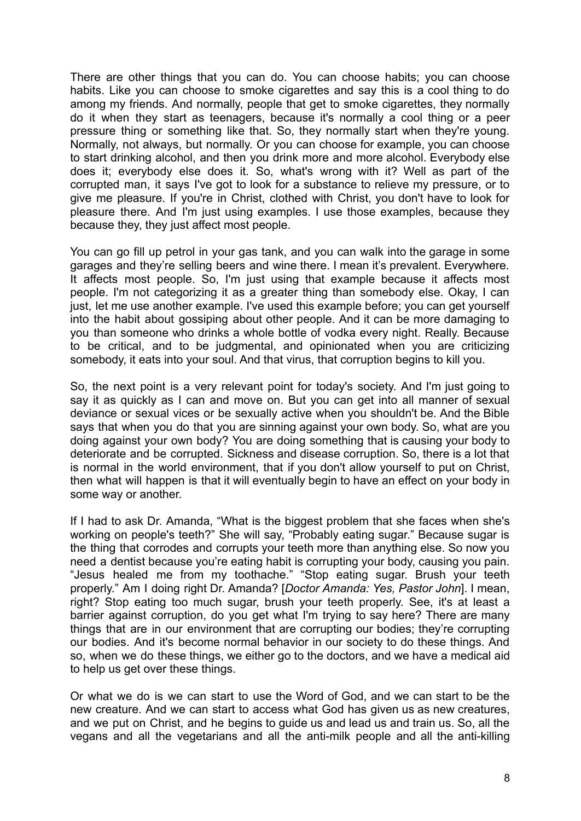There are other things that you can do. You can choose habits; you can choose habits. Like you can choose to smoke cigarettes and say this is a cool thing to do among my friends. And normally, people that get to smoke cigarettes, they normally do it when they start as teenagers, because it's normally a cool thing or a peer pressure thing or something like that. So, they normally start when they're young. Normally, not always, but normally. Or you can choose for example, you can choose to start drinking alcohol, and then you drink more and more alcohol. Everybody else does it; everybody else does it. So, what's wrong with it? Well as part of the corrupted man, it says I've got to look for a substance to relieve my pressure, or to give me pleasure. If you're in Christ, clothed with Christ, you don't have to look for pleasure there. And I'm just using examples. I use those examples, because they because they, they just affect most people.

You can go fill up petrol in your gas tank, and you can walk into the garage in some garages and they're selling beers and wine there. I mean it's prevalent. Everywhere. It affects most people. So, I'm just using that example because it affects most people. I'm not categorizing it as a greater thing than somebody else. Okay, I can just, let me use another example. I've used this example before; you can get yourself into the habit about gossiping about other people. And it can be more damaging to you than someone who drinks a whole bottle of vodka every night. Really. Because to be critical, and to be judgmental, and opinionated when you are criticizing somebody, it eats into your soul. And that virus, that corruption begins to kill you.

So, the next point is a very relevant point for today's society. And I'm just going to say it as quickly as I can and move on. But you can get into all manner of sexual deviance or sexual vices or be sexually active when you shouldn't be. And the Bible says that when you do that you are sinning against your own body. So, what are you doing against your own body? You are doing something that is causing your body to deteriorate and be corrupted. Sickness and disease corruption. So, there is a lot that is normal in the world environment, that if you don't allow yourself to put on Christ, then what will happen is that it will eventually begin to have an effect on your body in some way or another.

If I had to ask Dr. Amanda, "What is the biggest problem that she faces when she's working on people's teeth?" She will say, "Probably eating sugar." Because sugar is the thing that corrodes and corrupts your teeth more than anything else. So now you need a dentist because you're eating habit is corrupting your body, causing you pain. "Jesus healed me from my toothache." "Stop eating sugar. Brush your teeth properly." Am I doing right Dr. Amanda? [*Doctor Amanda: Yes, Pastor John*]. I mean, right? Stop eating too much sugar, brush your teeth properly. See, it's at least a barrier against corruption, do you get what I'm trying to say here? There are many things that are in our environment that are corrupting our bodies; they're corrupting our bodies. And it's become normal behavior in our society to do these things. And so, when we do these things, we either go to the doctors, and we have a medical aid to help us get over these things.

Or what we do is we can start to use the Word of God, and we can start to be the new creature. And we can start to access what God has given us as new creatures, and we put on Christ, and he begins to guide us and lead us and train us. So, all the vegans and all the vegetarians and all the anti-milk people and all the anti-killing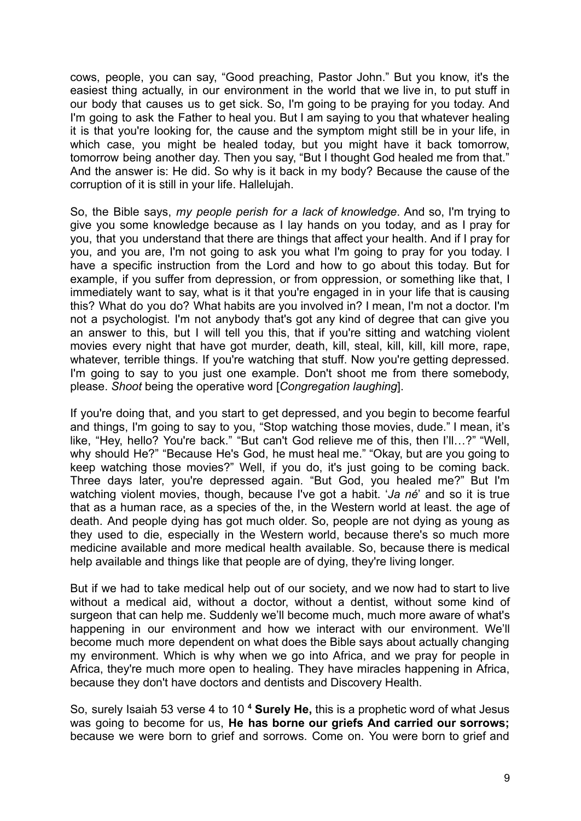cows, people, you can say, "Good preaching, Pastor John." But you know, it's the easiest thing actually, in our environment in the world that we live in, to put stuff in our body that causes us to get sick. So, I'm going to be praying for you today. And I'm going to ask the Father to heal you. But I am saying to you that whatever healing it is that you're looking for, the cause and the symptom might still be in your life, in which case, you might be healed today, but you might have it back tomorrow, tomorrow being another day. Then you say, "But I thought God healed me from that." And the answer is: He did. So why is it back in my body? Because the cause of the corruption of it is still in your life. Hallelujah.

So, the Bible says, *my people perish for a lack of knowledge*. And so, I'm trying to give you some knowledge because as I lay hands on you today, and as I pray for you, that you understand that there are things that affect your health. And if I pray for you, and you are, I'm not going to ask you what I'm going to pray for you today. I have a specific instruction from the Lord and how to go about this today. But for example, if you suffer from depression, or from oppression, or something like that, I immediately want to say, what is it that you're engaged in in your life that is causing this? What do you do? What habits are you involved in? I mean, I'm not a doctor. I'm not a psychologist. I'm not anybody that's got any kind of degree that can give you an answer to this, but I will tell you this, that if you're sitting and watching violent movies every night that have got murder, death, kill, steal, kill, kill, kill more, rape, whatever, terrible things. If you're watching that stuff. Now you're getting depressed. I'm going to say to you just one example. Don't shoot me from there somebody, please. *Shoot* being the operative word [*Congregation laughing*].

If you're doing that, and you start to get depressed, and you begin to become fearful and things, I'm going to say to you, "Stop watching those movies, dude." I mean, it's like, "Hey, hello? You're back." "But can't God relieve me of this, then I'll…?" "Well, why should He?" "Because He's God, he must heal me." "Okay, but are you going to keep watching those movies?" Well, if you do, it's just going to be coming back. Three days later, you're depressed again. "But God, you healed me?" But I'm watching violent movies, though, because I've got a habit. '*Ja né*' and so it is true that as a human race, as a species of the, in the Western world at least. the age of death. And people dying has got much older. So, people are not dying as young as they used to die, especially in the Western world, because there's so much more medicine available and more medical health available. So, because there is medical help available and things like that people are of dying, they're living longer.

But if we had to take medical help out of our society, and we now had to start to live without a medical aid, without a doctor, without a dentist, without some kind of surgeon that can help me. Suddenly we'll become much, much more aware of what's happening in our environment and how we interact with our environment. We'll become much more dependent on what does the Bible says about actually changing my environment. Which is why when we go into Africa, and we pray for people in Africa, they're much more open to healing. They have miracles happening in Africa, because they don't have doctors and dentists and Discovery Health.

So, surely Isaiah 53 verse 4 to 10 **<sup>4</sup> Surely He,** this is a prophetic word of what Jesus was going to become for us, **He has borne our griefs And carried our sorrows;** because we were born to grief and sorrows. Come on. You were born to grief and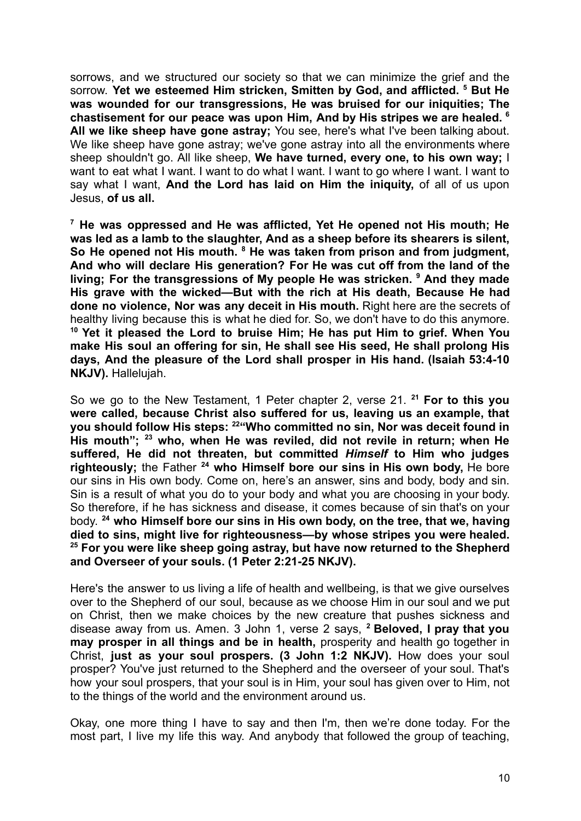sorrows, and we structured our society so that we can minimize the grief and the sorrow. **Yet we esteemed Him stricken, Smitten by God, and afflicted. <sup>5</sup> But He was wounded for our transgressions, He was bruised for our iniquities; The chastisement for our peace was upon Him, And by His stripes we are healed. <sup>6</sup> All we like sheep have gone astray;** You see, here's what I've been talking about. We like sheep have gone astray; we've gone astray into all the environments where sheep shouldn't go. All like sheep, **We have turned, every one, to his own way;** I want to eat what I want. I want to do what I want. I want to go where I want. I want to say what I want, **And the Lord has laid on Him the iniquity,** of all of us upon Jesus, **of us all.**

**<sup>7</sup> He was oppressed and He was afflicted, Yet He opened not His mouth; He was led as a lamb to the slaughter, And as a sheep before its shearers is silent, So He opened not His mouth. <sup>8</sup> He was taken from prison and from judgment, And who will declare His generation? For He was cut off from the land of the living; For the transgressions of My people He was stricken. <sup>9</sup> And they made His grave with the wicked—But with the rich at His death, Because He had done no violence, Nor was any deceit in His mouth.** Right here are the secrets of healthy living because this is what he died for. So, we don't have to do this anymore. **<sup>10</sup> Yet it pleased the Lord to bruise Him; He has put Him to grief. When You make His soul an offering for sin, He shall see His seed, He shall prolong His days, And the pleasure of the Lord shall prosper in His hand. (Isaiah 53:4-10 NKJV).** Hallelujah.

So we go to the New Testament, 1 Peter chapter 2, verse 21. **<sup>21</sup> For to this you were called, because Christ also suffered for us, leaving us an example, that you should follow His steps: <sup>22</sup>"Who committed no sin, Nor was deceit found in His mouth"; <sup>23</sup> who, when He was reviled, did not revile in return; when He suffered, He did not threaten, but committed** *Himself* **to Him who judges righteously;** the Father **<sup>24</sup> who Himself bore our sins in His own body,** He bore our sins in His own body. Come on, here's an answer, sins and body, body and sin. Sin is a result of what you do to your body and what you are choosing in your body. So therefore, if he has sickness and disease, it comes because of sin that's on your body. **<sup>24</sup> who Himself bore our sins in His own body, on the tree, that we, having died to sins, might live for righteousness—by whose stripes you were healed. <sup>25</sup> For you were like sheep going astray, but have now returned to the Shepherd and Overseer of your souls. (1 Peter 2:21-25 NKJV).**

Here's the answer to us living a life of health and wellbeing, is that we give ourselves over to the Shepherd of our soul, because as we choose Him in our soul and we put on Christ, then we make choices by the new creature that pushes sickness and disease away from us. Amen. 3 John 1, verse 2 says, **<sup>2</sup> Beloved, I pray that you may prosper in all things and be in health,** prosperity and health go together in Christ, **just as your soul prospers. (3 John 1:2 NKJV).** How does your soul prosper? You've just returned to the Shepherd and the overseer of your soul. That's how your soul prospers, that your soul is in Him, your soul has given over to Him, not to the things of the world and the environment around us.

Okay, one more thing I have to say and then I'm, then we're done today. For the most part, I live my life this way. And anybody that followed the group of teaching,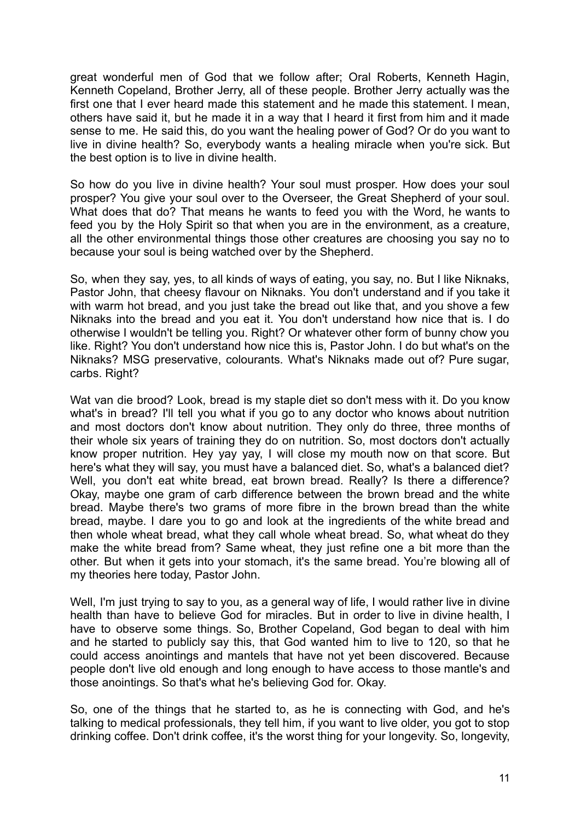great wonderful men of God that we follow after; Oral Roberts, Kenneth Hagin, Kenneth Copeland, Brother Jerry, all of these people. Brother Jerry actually was the first one that I ever heard made this statement and he made this statement. I mean, others have said it, but he made it in a way that I heard it first from him and it made sense to me. He said this, do you want the healing power of God? Or do you want to live in divine health? So, everybody wants a healing miracle when you're sick. But the best option is to live in divine health.

So how do you live in divine health? Your soul must prosper. How does your soul prosper? You give your soul over to the Overseer, the Great Shepherd of your soul. What does that do? That means he wants to feed you with the Word, he wants to feed you by the Holy Spirit so that when you are in the environment, as a creature, all the other environmental things those other creatures are choosing you say no to because your soul is being watched over by the Shepherd.

So, when they say, yes, to all kinds of ways of eating, you say, no. But I like Niknaks, Pastor John, that cheesy flavour on Niknaks. You don't understand and if you take it with warm hot bread, and you just take the bread out like that, and you shove a few Niknaks into the bread and you eat it. You don't understand how nice that is. I do otherwise I wouldn't be telling you. Right? Or whatever other form of bunny chow you like. Right? You don't understand how nice this is, Pastor John. I do but what's on the Niknaks? MSG preservative, colourants. What's Niknaks made out of? Pure sugar, carbs. Right?

Wat van die brood? Look, bread is my staple diet so don't mess with it. Do you know what's in bread? I'll tell you what if you go to any doctor who knows about nutrition and most doctors don't know about nutrition. They only do three, three months of their whole six years of training they do on nutrition. So, most doctors don't actually know proper nutrition. Hey yay yay, I will close my mouth now on that score. But here's what they will say, you must have a balanced diet. So, what's a balanced diet? Well, you don't eat white bread, eat brown bread. Really? Is there a difference? Okay, maybe one gram of carb difference between the brown bread and the white bread. Maybe there's two grams of more fibre in the brown bread than the white bread, maybe. I dare you to go and look at the ingredients of the white bread and then whole wheat bread, what they call whole wheat bread. So, what wheat do they make the white bread from? Same wheat, they just refine one a bit more than the other. But when it gets into your stomach, it's the same bread. You're blowing all of my theories here today, Pastor John.

Well, I'm just trying to say to you, as a general way of life, I would rather live in divine health than have to believe God for miracles. But in order to live in divine health, I have to observe some things. So, Brother Copeland, God began to deal with him and he started to publicly say this, that God wanted him to live to 120, so that he could access anointings and mantels that have not yet been discovered. Because people don't live old enough and long enough to have access to those mantle's and those anointings. So that's what he's believing God for. Okay.

So, one of the things that he started to, as he is connecting with God, and he's talking to medical professionals, they tell him, if you want to live older, you got to stop drinking coffee. Don't drink coffee, it's the worst thing for your longevity. So, longevity,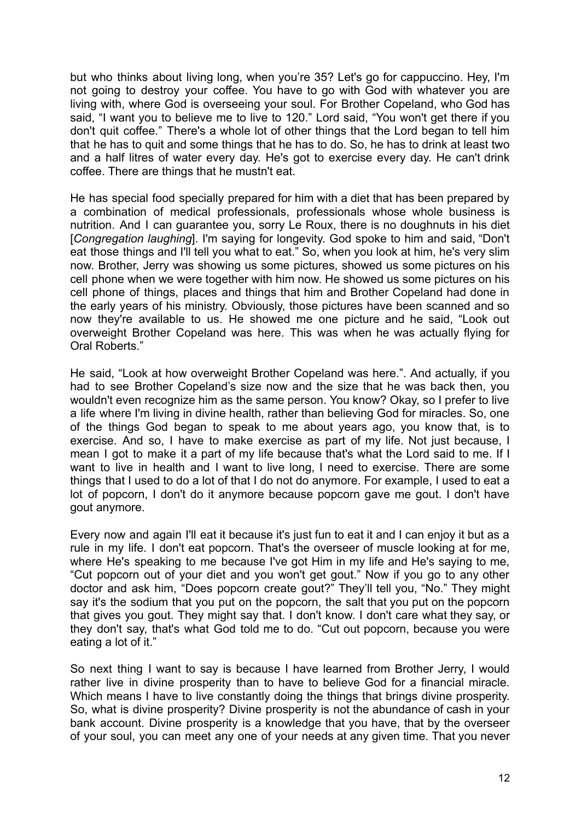but who thinks about living long, when you're 35? Let's go for cappuccino. Hey, I'm not going to destroy your coffee. You have to go with God with whatever you are living with, where God is overseeing your soul. For Brother Copeland, who God has said, "I want you to believe me to live to 120." Lord said, "You won't get there if you don't quit coffee." There's a whole lot of other things that the Lord began to tell him that he has to quit and some things that he has to do. So, he has to drink at least two and a half litres of water every day. He's got to exercise every day. He can't drink coffee. There are things that he mustn't eat.

He has special food specially prepared for him with a diet that has been prepared by a combination of medical professionals, professionals whose whole business is nutrition. And I can guarantee you, sorry Le Roux, there is no doughnuts in his diet [*Congregation laughing*]. I'm saying for longevity. God spoke to him and said, "Don't eat those things and I'll tell you what to eat." So, when you look at him, he's very slim now. Brother, Jerry was showing us some pictures, showed us some pictures on his cell phone when we were together with him now. He showed us some pictures on his cell phone of things, places and things that him and Brother Copeland had done in the early years of his ministry. Obviously, those pictures have been scanned and so now they're available to us. He showed me one picture and he said, "Look out overweight Brother Copeland was here. This was when he was actually flying for Oral Roberts."

He said, "Look at how overweight Brother Copeland was here.". And actually, if you had to see Brother Copeland's size now and the size that he was back then, you wouldn't even recognize him as the same person. You know? Okay, so I prefer to live a life where I'm living in divine health, rather than believing God for miracles. So, one of the things God began to speak to me about years ago, you know that, is to exercise. And so, I have to make exercise as part of my life. Not just because, I mean I got to make it a part of my life because that's what the Lord said to me. If I want to live in health and I want to live long, I need to exercise. There are some things that I used to do a lot of that I do not do anymore. For example, I used to eat a lot of popcorn, I don't do it anymore because popcorn gave me gout. I don't have gout anymore.

Every now and again I'll eat it because it's just fun to eat it and I can enjoy it but as a rule in my life. I don't eat popcorn. That's the overseer of muscle looking at for me, where He's speaking to me because I've got Him in my life and He's saying to me, "Cut popcorn out of your diet and you won't get gout." Now if you go to any other doctor and ask him, "Does popcorn create gout?" They'll tell you, "No." They might say it's the sodium that you put on the popcorn, the salt that you put on the popcorn that gives you gout. They might say that. I don't know. I don't care what they say, or they don't say, that's what God told me to do. "Cut out popcorn, because you were eating a lot of it."

So next thing I want to say is because I have learned from Brother Jerry, I would rather live in divine prosperity than to have to believe God for a financial miracle. Which means I have to live constantly doing the things that brings divine prosperity. So, what is divine prosperity? Divine prosperity is not the abundance of cash in your bank account. Divine prosperity is a knowledge that you have, that by the overseer of your soul, you can meet any one of your needs at any given time. That you never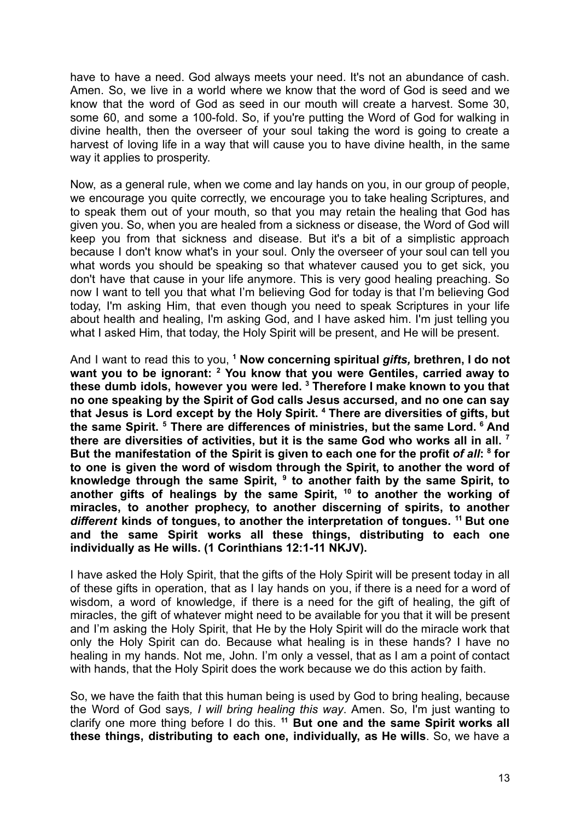have to have a need. God always meets your need. It's not an abundance of cash. Amen. So, we live in a world where we know that the word of God is seed and we know that the word of God as seed in our mouth will create a harvest. Some 30, some 60, and some a 100-fold. So, if you're putting the Word of God for walking in divine health, then the overseer of your soul taking the word is going to create a harvest of loving life in a way that will cause you to have divine health, in the same way it applies to prosperity.

Now, as a general rule, when we come and lay hands on you, in our group of people, we encourage you quite correctly, we encourage you to take healing Scriptures, and to speak them out of your mouth, so that you may retain the healing that God has given you. So, when you are healed from a sickness or disease, the Word of God will keep you from that sickness and disease. But it's a bit of a simplistic approach because I don't know what's in your soul. Only the overseer of your soul can tell you what words you should be speaking so that whatever caused you to get sick, you don't have that cause in your life anymore. This is very good healing preaching. So now I want to tell you that what I'm believing God for today is that I'm believing God today, I'm asking Him, that even though you need to speak Scriptures in your life about health and healing, I'm asking God, and I have asked him. I'm just telling you what I asked Him, that today, the Holy Spirit will be present, and He will be present.

And I want to read this to you, **<sup>1</sup> Now concerning spiritual** *gifts,* **brethren, I do not want you to be ignorant: <sup>2</sup> You know that you were Gentiles, carried away to these dumb idols, however you were led. <sup>3</sup> Therefore I make known to you that no one speaking by the Spirit of God calls Jesus accursed, and no one can say that Jesus is Lord except by the Holy Spirit. <sup>4</sup> There are diversities of gifts, but the same Spirit. <sup>5</sup> There are differences of ministries, but the same Lord. <sup>6</sup> And there are diversities of activities, but it is the same God who works all in all. <sup>7</sup> But the manifestation of the Spirit is given to each one for the profit** *of all***: 8 for to one is given the word of wisdom through the Spirit, to another the word of knowledge through the same Spirit, <sup>9</sup> to another faith by the same Spirit, to another gifts of healings by the same Spirit, <sup>10</sup> to another the working of miracles, to another prophecy, to another discerning of spirits, to another** *different* **kinds of tongues, to another the interpretation of tongues. <sup>11</sup> But one and the same Spirit works all these things, distributing to each one individually as He wills. (1 Corinthians 12:1-11 NKJV).**

I have asked the Holy Spirit, that the gifts of the Holy Spirit will be present today in all of these gifts in operation, that as I lay hands on you, if there is a need for a word of wisdom, a word of knowledge, if there is a need for the gift of healing, the gift of miracles, the gift of whatever might need to be available for you that it will be present and I'm asking the Holy Spirit, that He by the Holy Spirit will do the miracle work that only the Holy Spirit can do. Because what healing is in these hands? I have no healing in my hands. Not me, John. I'm only a vessel, that as I am a point of contact with hands, that the Holy Spirit does the work because we do this action by faith.

So, we have the faith that this human being is used by God to bring healing, because the Word of God says*, I will bring healing this way*. Amen. So, I'm just wanting to clarify one more thing before I do this. **<sup>11</sup> But one and the same Spirit works all these things, distributing to each one, individually, as He wills**. So, we have a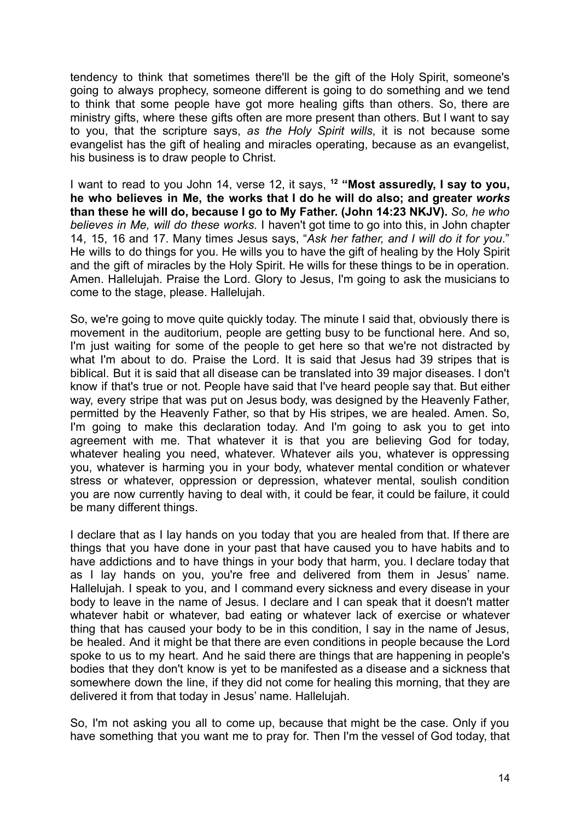tendency to think that sometimes there'll be the gift of the Holy Spirit, someone's going to always prophecy, someone different is going to do something and we tend to think that some people have got more healing gifts than others. So, there are ministry gifts, where these gifts often are more present than others. But I want to say to you, that the scripture says, *as the Holy Spirit wills*, it is not because some evangelist has the gift of healing and miracles operating, because as an evangelist, his business is to draw people to Christ.

I want to read to you John 14, verse 12, it says, **<sup>12</sup> "Most assuredly, I say to you, he who believes in Me, the works that I do he will do also; and greater** *works* **than these he will do, because I go to My Father. (John 14:23 NKJV).** *So, he who believes in Me, will do these works*. I haven't got time to go into this, in John chapter 14, 15, 16 and 17. Many times Jesus says, "*Ask her father, and I will do it for you*." He wills to do things for you. He wills you to have the gift of healing by the Holy Spirit and the gift of miracles by the Holy Spirit. He wills for these things to be in operation. Amen. Hallelujah. Praise the Lord. Glory to Jesus, I'm going to ask the musicians to come to the stage, please. Hallelujah.

So, we're going to move quite quickly today. The minute I said that, obviously there is movement in the auditorium, people are getting busy to be functional here. And so, I'm just waiting for some of the people to get here so that we're not distracted by what I'm about to do. Praise the Lord. It is said that Jesus had 39 stripes that is biblical. But it is said that all disease can be translated into 39 major diseases. I don't know if that's true or not. People have said that I've heard people say that. But either way, every stripe that was put on Jesus body, was designed by the Heavenly Father, permitted by the Heavenly Father, so that by His stripes, we are healed. Amen. So, I'm going to make this declaration today. And I'm going to ask you to get into agreement with me. That whatever it is that you are believing God for today, whatever healing you need, whatever. Whatever ails you, whatever is oppressing you, whatever is harming you in your body, whatever mental condition or whatever stress or whatever, oppression or depression, whatever mental, soulish condition you are now currently having to deal with, it could be fear, it could be failure, it could be many different things.

I declare that as I lay hands on you today that you are healed from that. If there are things that you have done in your past that have caused you to have habits and to have addictions and to have things in your body that harm, you. I declare today that as I lay hands on you, you're free and delivered from them in Jesus' name. Hallelujah. I speak to you, and I command every sickness and every disease in your body to leave in the name of Jesus. I declare and I can speak that it doesn't matter whatever habit or whatever, bad eating or whatever lack of exercise or whatever thing that has caused your body to be in this condition, I say in the name of Jesus, be healed. And it might be that there are even conditions in people because the Lord spoke to us to my heart. And he said there are things that are happening in people's bodies that they don't know is yet to be manifested as a disease and a sickness that somewhere down the line, if they did not come for healing this morning, that they are delivered it from that today in Jesus' name. Hallelujah.

So, I'm not asking you all to come up, because that might be the case. Only if you have something that you want me to pray for. Then I'm the vessel of God today, that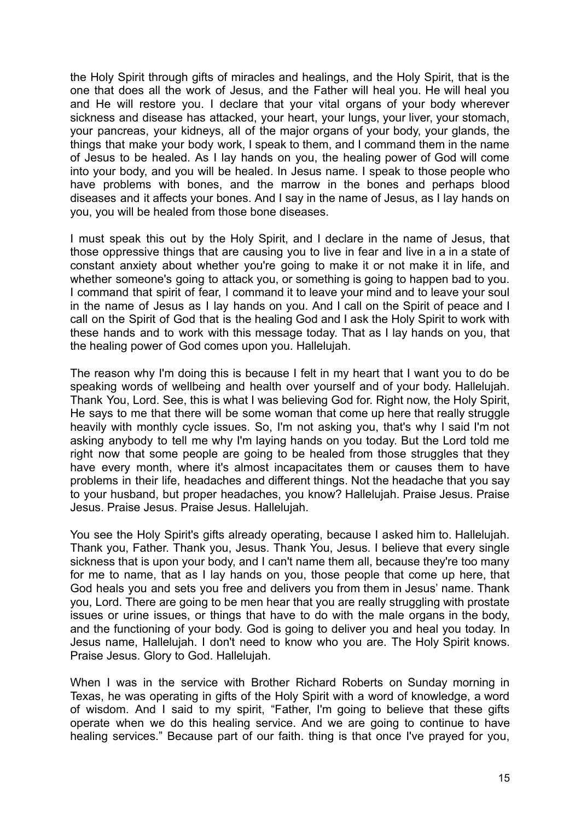the Holy Spirit through gifts of miracles and healings, and the Holy Spirit, that is the one that does all the work of Jesus, and the Father will heal you. He will heal you and He will restore you. I declare that your vital organs of your body wherever sickness and disease has attacked, your heart, your lungs, your liver, your stomach, your pancreas, your kidneys, all of the major organs of your body, your glands, the things that make your body work, I speak to them, and I command them in the name of Jesus to be healed. As I lay hands on you, the healing power of God will come into your body, and you will be healed. In Jesus name. I speak to those people who have problems with bones, and the marrow in the bones and perhaps blood diseases and it affects your bones. And I say in the name of Jesus, as I lay hands on you, you will be healed from those bone diseases.

I must speak this out by the Holy Spirit, and I declare in the name of Jesus, that those oppressive things that are causing you to live in fear and live in a in a state of constant anxiety about whether you're going to make it or not make it in life, and whether someone's going to attack you, or something is going to happen bad to you. I command that spirit of fear, I command it to leave your mind and to leave your soul in the name of Jesus as I lay hands on you. And I call on the Spirit of peace and I call on the Spirit of God that is the healing God and I ask the Holy Spirit to work with these hands and to work with this message today. That as I lay hands on you, that the healing power of God comes upon you. Hallelujah.

The reason why I'm doing this is because I felt in my heart that I want you to do be speaking words of wellbeing and health over yourself and of your body. Hallelujah. Thank You, Lord. See, this is what I was believing God for. Right now, the Holy Spirit, He says to me that there will be some woman that come up here that really struggle heavily with monthly cycle issues. So, I'm not asking you, that's why I said I'm not asking anybody to tell me why I'm laying hands on you today. But the Lord told me right now that some people are going to be healed from those struggles that they have every month, where it's almost incapacitates them or causes them to have problems in their life, headaches and different things. Not the headache that you say to your husband, but proper headaches, you know? Hallelujah. Praise Jesus. Praise Jesus. Praise Jesus. Praise Jesus. Hallelujah.

You see the Holy Spirit's gifts already operating, because I asked him to. Hallelujah. Thank you, Father. Thank you, Jesus. Thank You, Jesus. I believe that every single sickness that is upon your body, and I can't name them all, because they're too many for me to name, that as I lay hands on you, those people that come up here, that God heals you and sets you free and delivers you from them in Jesus' name. Thank you, Lord. There are going to be men hear that you are really struggling with prostate issues or urine issues, or things that have to do with the male organs in the body, and the functioning of your body. God is going to deliver you and heal you today. In Jesus name, Hallelujah. I don't need to know who you are. The Holy Spirit knows. Praise Jesus. Glory to God. Hallelujah.

When I was in the service with Brother Richard Roberts on Sunday morning in Texas, he was operating in gifts of the Holy Spirit with a word of knowledge, a word of wisdom. And I said to my spirit, "Father, I'm going to believe that these gifts operate when we do this healing service. And we are going to continue to have healing services." Because part of our faith. thing is that once I've prayed for you,